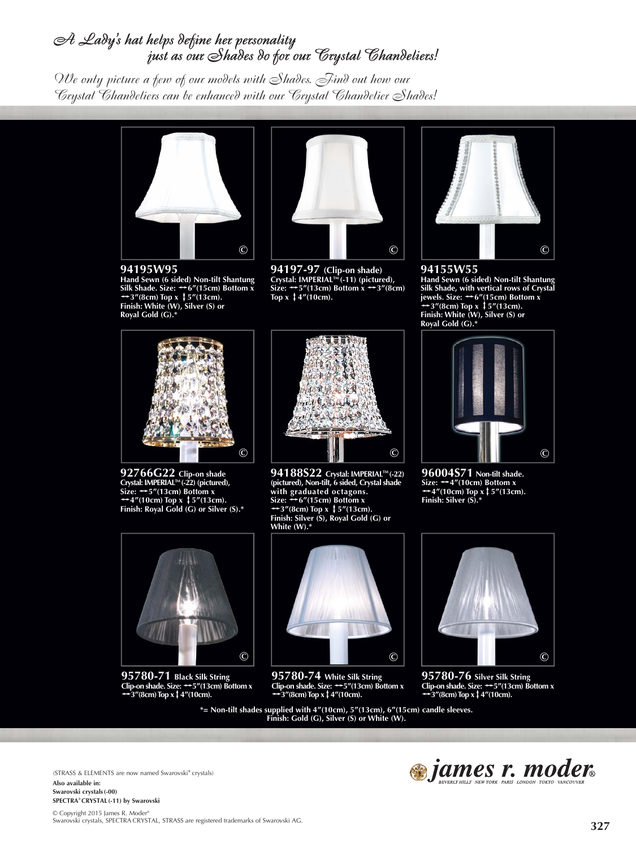## A Lady's hat helps define her personality just as our Shades do for our Crystal Chandeliers!

*We only picture a few of our models with Shades. Find out how our Crystal Chandeliers can be enhanced with our Crystal Chandelier Shades!*



**94195W95Hand Sewn (6 sided) Non-tilt Shantung**<br>Silk Shade. Size: → 6"(15cm) Bottom x<br>→ 3"(8cm) Top x ↓ 5"(13cm). **Finish: White (W), Silver (S) or Royal Gold (G).\***



**94197-97 (Clip-on shade) Crystal: IMPERIAL™ (-11) (pictured),<br>Size: <del>;</del>5"(13cm) Bottom x ++3"(8cm)<br>Top x ‡4"(10cm).** 



**94155W55 Hand Sewn (6 sided) Non-tilt Shantung Silk Shade, with vertical rows of Crystal jewels. Size: <del>\*\*</del>6"(15cm) Bottom x \***<br>**\*\*3"(8cm) Top x \*\$"(13cm). Finish: White (W), Silver (S) or Royal Gold (G).\***



**92766G22 Clip-on shade Crystal: IMPERIALTM (-22) (pictured),**  Size:  $\leftrightarrow$  5"(13cm) Bottom x  $\rightarrow$ 4"(10cm) Top x ↓ 5"(13cm). **Finish: Royal Gold (G) or Silver (S).\***



**95780-71 Black Silk String Clip-on shade. Size:** h**5"(13cm) Bottom x**  <sup>h</sup>**3"(8cm) Top x**v**4"(10cm).**



**94188S22 Crystal: IMPERIAL™ (-22) (pictured), Non-tilt, 6 sided, Crystal shade with graduated octagons. Size:** h**6"(15cm) Bottom x** <sup>h</sup>**3"(8cm) Top x** v**5"(13cm). Finish: Silver (S), Royal Gold (G) or White (W).\***



**96004S71 Non-tilt shade. Size:** h**4"(10cm) Bottom x**  <sup>h</sup>**4"(10cm) Top x**v**5"(13cm). Finish: Silver (S).\***



**95780-74 White Silk String Clip-on shade. Size:** h**5"(13cm) Bottom x** <sup>h</sup>**3"(8cm) Top x**v**4"(10cm).**

**\*= Non-tilt shades supplied with 4"(10cm), 5"(13cm), 6"(15cm) candle sleeves. Finish: Gold (G), Silver (S) or White (W).**



**95780-76 Silver Silk String Clip-on shade. Size:** h**5"(13cm) Bottom x**  $\rightarrow$  3"(8cm) Top x  $\uparrow$  4"(10cm).

(STRASS & ELEMENTS are now named Swarovski**®** crystals) **Also available in: Swarovski crystals(-00) SPECTRA® CRYSTAL(-11) by Swarovski** 

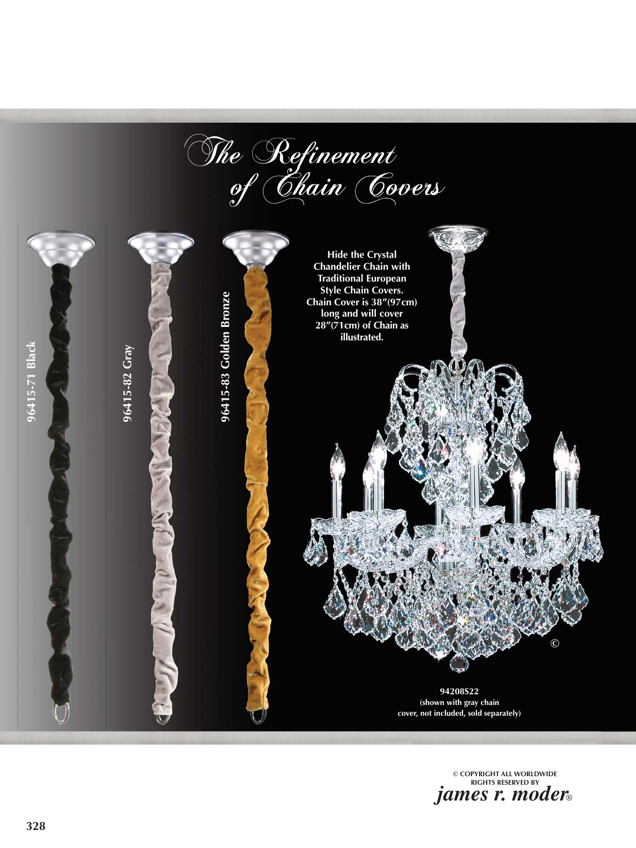The Refinement<br>of Chain Covers



**© COPYRIGHT ALL WORLDWIDE RIGHTS RESERVED BY** *james r. moder*®